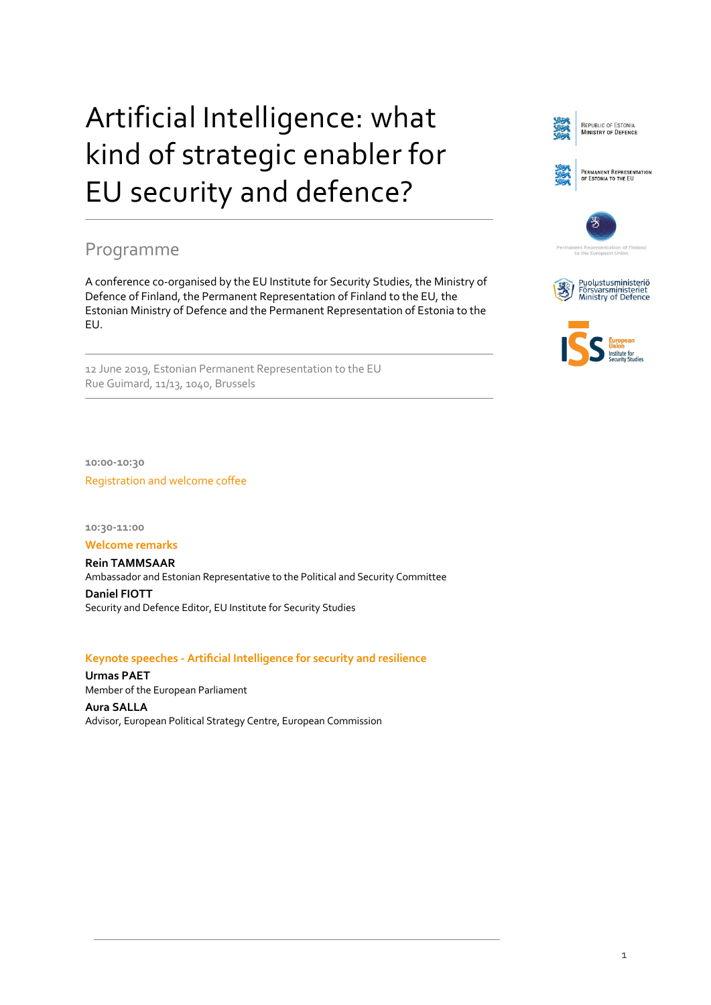# Artificial Intelligence: what kind of strategic enabler for EU security and defence?

# Programme

A conference co-organised by the EU Institute for Security Studies, the Ministry of Defence of Finland, the Permanent Representation of Finland to the EU, the Estonian Ministry of Defence and the Permanent Representation of Estonia to the EU.

12 June 2019, Estonian Permanent Representation to the EU Rue Guimard, 11/13, 1040, Brussels

**10:00-10:30** Registration and welcome coffee

**10:30-11:00**

**Welcome remarks**

**Rein TAMMSAAR** Ambassador and Estonian Representative to the Political and Security Committee **Daniel FIOTT** Security and Defence Editor, EU Institute for Security Studies

# **Keynote speeches - Artificial Intelligence for security and resilience**

**Urmas PAET** Member of the European Parliament

**Aura SALLA** Advisor, European Political Strategy Centre, European Commission